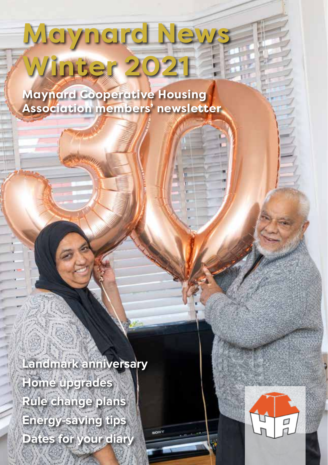# **Maynard News Winter 2021**

**Maynard Cooperative Housing Association members' newsletter**

**Landmark anniversary Home upgrades Rule change plans Energy-saving tips Dates for your diary**

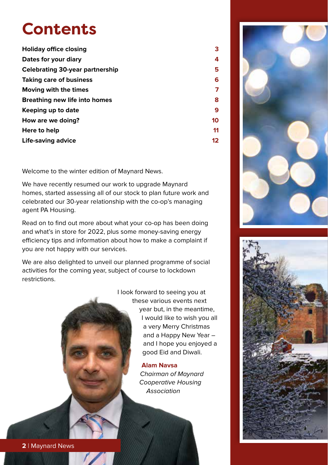# **Contents**

| <b>Holiday office closing</b>          | з  |
|----------------------------------------|----|
| Dates for your diary                   | 4  |
| <b>Celebrating 30-year partnership</b> | 5  |
| <b>Taking care of business</b>         | 6  |
| Moving with the times                  | 7  |
| Breathing new life into homes          | 8  |
| Keeping up to date                     | 9  |
| How are we doing?                      | 10 |
| Here to help                           | 11 |
| Life-saving advice                     | 12 |

Welcome to the winter edition of Maynard News.

We have recently resumed our work to upgrade Maynard homes, started assessing all of our stock to plan future work and celebrated our 30-year relationship with the co-op's managing agent PA Housing.

Read on to find out more about what your co-op has been doing and what's in store for 2022, plus some money-saving energy efficiency tips and information about how to make a complaint if you are not happy with our services.

We are also delighted to unveil our planned programme of social activities for the coming year, subject of course to lockdown restrictions.

> I look forward to seeing you at these various events next year but, in the meantime, I would like to wish you all a very Merry Christmas and a Happy New Year – and I hope you enjoyed a good Eid and Diwali.

> > **Alam Navsa** Chairman of Maynard Cooperative Housing Association



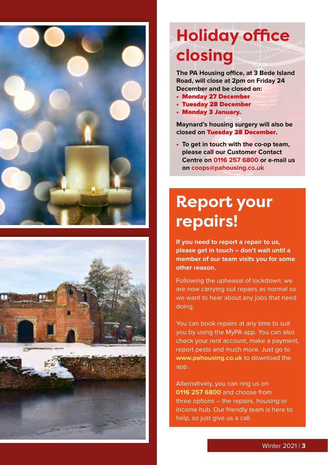



# **Holiday office closing**

**The PA Housing office, at 3 Bede Island Road, will close at 2pm on Friday 24 December and be closed on:**

- Monday 27 December
- Tuesday 28 December
- Monday 3 January.

**Maynard's housing surgery will also be closed on** Tuesday 28 December**.** 

• **To get in touch with the co-op team, please call our Customer Contact Centre on 0116 257 6800 or e-mail us on coops@pahousing.co.uk**

### **Report your repairs!**

**If you need to report a repair to us, please get in touch – don't wait until a member of our team visits you for some other reason.**

Following the upheaval of lockdown, we are now carrying out repairs as normal so we want to hear about any jobs that need doing.

You can book repairs at any time to suit you by using the MyPA app. You can also check your rent account, make a payment, report pests and much more. Just go to **www.pahousing.co.uk** to download the app.

Alternatively, you can ring us on **0116 257 6800** and choose from three options – the repairs, housing or income hub. Our friendly team is here to help, so just give us a call.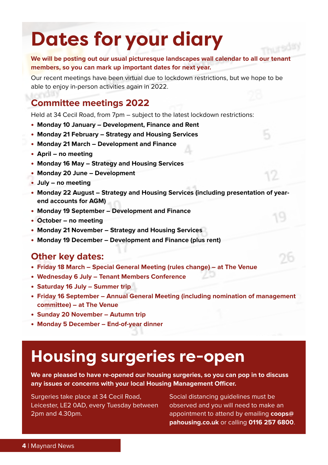# **Dates for your diary**

**We will be posting out our usual picturesque landscapes wall calendar to all our tenant members, so you can mark up important dates for next year.**

Our recent meetings have been virtual due to lockdown restrictions, but we hope to be able to enjoy in-person activities again in 2022.

#### **Committee meetings 2022**

Held at 34 Cecil Road, from 7pm – subject to the latest lockdown restrictions:

- **Monday 10 January Development, Finance and Rent**
- **Monday 21 February Strategy and Housing Services**
- **Monday 21 March Development and Finance**
- **April no meeting**
- **Monday 16 May Strategy and Housing Services**
- **Monday 20 June Development**
- **July no meeting**
- **Monday 22 August Strategy and Housing Services (including presentation of yearend accounts for AGM)**
- **Monday 19 September Development and Finance**
- **October no meeting**
- **Monday 21 November Strategy and Housing Services**
- **Monday 19 December Development and Finance (plus rent)**

#### **Other key dates:**

- **Friday 18 March Special General Meeting (rules change) at The Venue**
- **Wednesday 6 July Tenant Members Conference**
- **Saturday 16 July Summer trip**
- **Friday 16 September Annual General Meeting (including nomination of management committee) – at The Venue**
- **Sunday 20 November Autumn trip**
- **Monday 5 December End-of-year dinner**

### **Housing surgeries re-open**

**We are pleased to have re-opened our housing surgeries, so you can pop in to discuss any issues or concerns with your local Housing Management Officer.**

Surgeries take place at 34 Cecil Road, Leicester, LE2 0AD, every Tuesday between 2pm and 4.30pm.

Social distancing guidelines must be observed and you will need to make an appointment to attend by emailing **coops@ pahousing.co.uk** or calling **0116 257 6800**.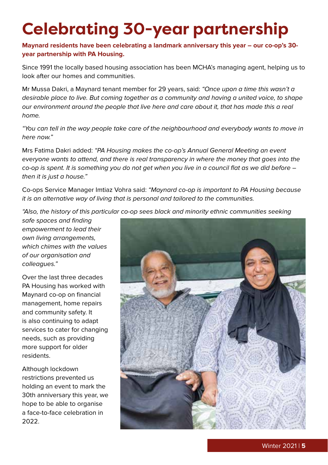# **Celebrating 30-year partnership**

#### **Maynard residents have been celebrating a landmark anniversary this year – our co-op's 30 year partnership with PA Housing.**

Since 1991 the locally based housing association has been MCHA's managing agent, helping us to look after our homes and communities.

Mr Mussa Dakri, a Maynard tenant member for 29 years, said: "Once upon a time this wasn't a desirable place to live. But coming together as a community and having a united voice, to shape our environment around the people that live here and care about it, that has made this a real home.

"You can tell in the way people take care of the neighbourhood and everybody wants to move in here now."

Mrs Fatima Dakri added: "PA Housing makes the co-op's Annual General Meeting an event everyone wants to attend, and there is real transparency in where the money that goes into the  $\cos$  co-op is spent. It is something you do not get when you live in a council flat as we did before – then it is just a house."

Co-ops Service Manager Imtiaz Vohra said: "Maynard co-op is important to PA Housing because it is an alternative way of living that is personal and tailored to the communities.

"Also, the history of this particular co-op sees black and minority ethnic communities seeking

safe spaces and finding empowerment to lead their own living arrangements, which chimes with the values of our organisation and colleagues."

Over the last three decades PA Housing has worked with Maynard co-op on financial management, home repairs and community safety. It is also continuing to adapt services to cater for changing needs, such as providing more support for older residents.

Although lockdown restrictions prevented us holding an event to mark the 30th anniversary this year, we hope to be able to organise a face-to-face celebration in 2022.

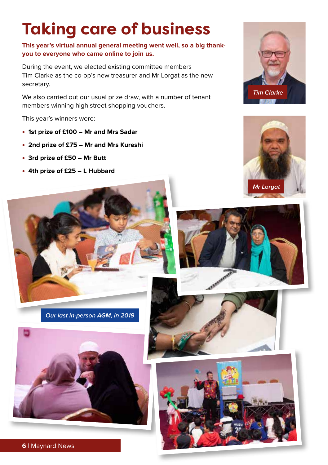# **Taking care of business**

**This year's virtual annual general meeting went well, so a big thankyou to everyone who came online to join us.**

During the event, we elected existing committee members Tim Clarke as the co-op's new treasurer and Mr Lorgat as the new secretary.

We also carried out our usual prize draw, with a number of tenant members winning high street shopping vouchers.

This year's winners were:

- **1st prize of £100 Mr and Mrs Sadar**
- **2nd prize of £75 Mr and Mrs Kureshi**
- **3rd prize of £50 Mr Butt**
- **4th prize of £25 L Hubbard**



**Our last in-person AGM, in 2019**











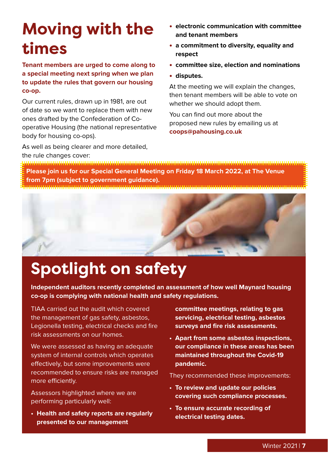# **Moving with the times**

**Tenant members are urged to come along to a special meeting next spring when we plan to update the rules that govern our housing co-op.**

Our current rules, drawn up in 1981, are out of date so we want to replace them with new ones drafted by the Confederation of Cooperative Housing (the national representative body for housing co-ops).

• **electronic communication with committee and tenant members**

- **a commitment to diversity, equality and respect**
- **committee size, election and nominations**
- **disputes.**

At the meeting we will explain the changes, then tenant members will be able to vote on whether we should adopt them.

You can find out more about the proposed new rules by emailing us at **coops@pahousing.co.uk**

As well as being clearer and more detailed, the rule changes cover:

**Please join us for our Special General Meeting on Friday 18 March 2022, at The Venue from 7pm (subject to government guidance).**



### **Spotlight on safety**

**Independent auditors recently completed an assessment of how well Maynard housing co-op is complying with national health and safety regulations.**

TIAA carried out the audit which covered the management of gas safety, asbestos, Legionella testing, electrical checks and fire risk assessments on our homes.

We were assessed as having an adequate system of internal controls which operates effectively, but some improvements were recommended to ensure risks are managed more efficiently.

Assessors highlighted where we are performing particularly well:

**• Health and safety reports are regularly presented to our management** 

**committee meetings, relating to gas servicing, electrical testing, asbestos surveys and fire risk assessments.**

**• Apart from some asbestos inspections, our compliance in these areas has been maintained throughout the Covid-19 pandemic.**

They recommended these improvements:

- **To review and update our policies covering such compliance processes.**
- **To ensure accurate recording of electrical testing dates.**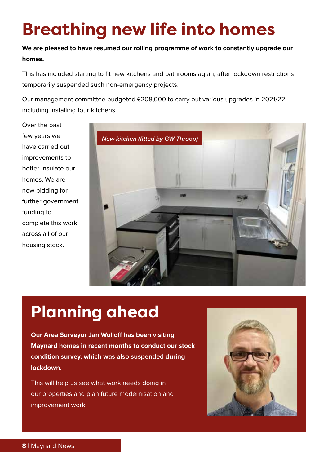# **Breathing new life into homes**

#### **We are pleased to have resumed our rolling programme of work to constantly upgrade our homes.**

This has included starting to fit new kitchens and bathrooms again, after lockdown restrictions temporarily suspended such non-emergency projects.

Our management committee budgeted £208,000 to carry out various upgrades in 2021/22, including installing four kitchens.

Over the past few years we have carried out improvements to better insulate our homes. We are now bidding for further government funding to complete this work across all of our housing stock.



### **Planning ahead**

**Our Area Surveyor Jan Wolloff has been visiting Maynard homes in recent months to conduct our stock condition survey, which was also suspended during lockdown.**

This will help us see what work needs doing in our properties and plan future modernisation and improvement work.

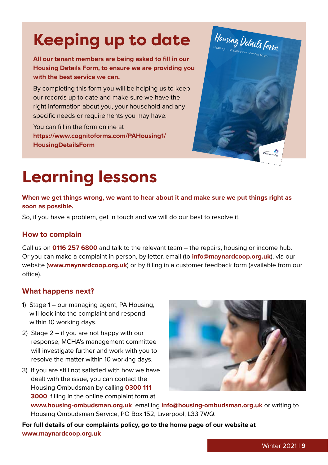# **Keeping up to date**

**All our tenant members are being asked to fill in our Housing Details Form, to ensure we are providing you with the best service we can.**

By completing this form you will be helping us to keep our records up to date and make sure we have the right information about you, your household and any specific needs or requirements you may have.

You can fill in the form online at **https://www.cognitoforms.com/PAHousing1/ HousingDetailsForm**



### **Learning lessons**

**When we get things wrong, we want to hear about it and make sure we put things right as soon as possible.**

So, if you have a problem, get in touch and we will do our best to resolve it.

#### **How to complain**

Call us on **0116 257 6800** and talk to the relevant team – the repairs, housing or income hub. Or you can make a complaint in person, by letter, email (to **info@maynardcoop.org.uk**), via our website (**www.maynardcoop.org.uk**) or by filling in a customer feedback form (available from our office).

#### **What happens next?**

- 1) Stage 1 our managing agent, PA Housing, will look into the complaint and respond within 10 working days.
- 2) Stage 2 if you are not happy with our response, MCHA's management committee will investigate further and work with you to resolve the matter within 10 working days.
- 3) If you are still not satisfied with how we have dealt with the issue, you can contact the Housing Ombudsman by calling **0300 111 3000**, filling in the online complaint form at



**www.housing-ombudsman.org.uk**, emailing **info@housing-ombudsman.org.uk** or writing to Housing Ombudsman Service, PO Box 152, Liverpool, L33 7WQ.

**For full details of our complaints policy, go to the home page of our website at www.maynardcoop.org.uk**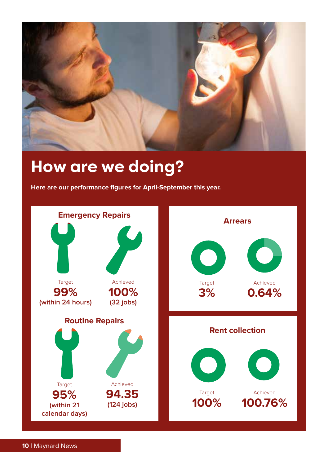

### **How are we doing?**

**Here are our performance figures for April-September this year.**

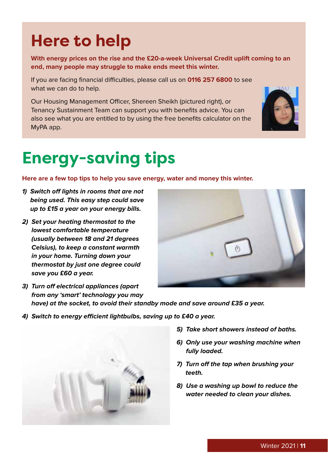### **Here to help**

**With energy prices on the rise and the £20-a-week Universal Credit uplift coming to an end, many people may struggle to make ends meet this winter.**

If you are facing financial difficulties, please call us on **0116 257 6800** to see what we can do to help.

Our Housing Management Officer, Shereen Sheikh (pictured right), or Tenancy Sustainment Team can support you with benefits advice. You can also see what you are entitled to by using the free benefits calculator on the MyPA app.



# **Energy-saving tips**

#### **Here are a few top tips to help you save energy, water and money this winter.**

- **1) Switch off lights in rooms that are not being used. This easy step could save up to £15 a year on your energy bills.**
- **2) Set your heating thermostat to the lowest comfortable temperature (usually between 18 and 21 degrees Celsius), to keep a constant warmth in your home. Turning down your thermostat by just one degree could save you £60 a year.**



- **3) Turn off electrical appliances (apart from any 'smart' technology you may have) at the socket, to avoid their standby mode and save around £35 a year.**
- **4) Switch to energy efficient lightbulbs, saving up to £40 a year.**



- **5) Take short showers instead of baths.**
- **6) Only use your washing machine when fully loaded.**
- **7) Turn off the tap when brushing your teeth.**
- **8) Use a washing up bowl to reduce the water needed to clean your dishes.**